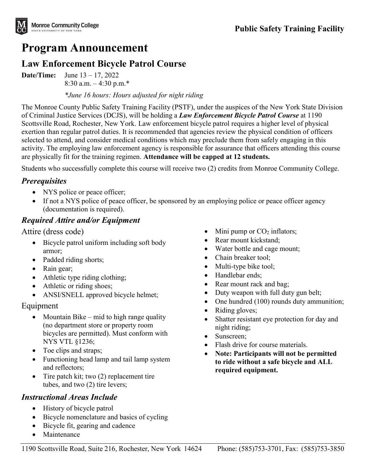

# **Program Announcement**

## **Law Enforcement Bicycle Patrol Course**

**Date/Time:** June 13 – 17, 2022 8:30 a.m. – 4:30 p.m.\*

*\*June 16 hours: Hours adjusted for night riding* 

The Monroe County Public Safety Training Facility (PSTF), under the auspices of the New York State Division of Criminal Justice Services (DCJS), will be holding a *Law Enforcement Bicycle Patrol Course* at 1190 Scottsville Road, Rochester, New York. Law enforcement bicycle patrol requires a higher level of physical exertion than regular patrol duties. It is recommended that agencies review the physical condition of officers selected to attend, and consider medical conditions which may preclude them from safely engaging in this activity. The employing law enforcement agency is responsible for assurance that officers attending this course are physically fit for the training regimen. **Attendance will be capped at 12 students.**

Students who successfully complete this course will receive two (2) credits from Monroe Community College.

#### *Prerequisites*

- NYS police or peace officer;
- If not a NYS police of peace officer, be sponsored by an employing police or peace officer agency (documentation is required).

## *Required Attire and/or Equipment*

Attire (dress code)

- Bicycle patrol uniform including soft body armor;
- Padded riding shorts;
- Rain gear;
- Athletic type riding clothing;
- Athletic or riding shoes;
- ANSI/SNELL approved bicycle helmet;

#### Equipment

- Mountain Bike mid to high range quality (no department store or property room bicycles are permitted). Must conform with NYS VTL §1236;
- Toe clips and straps;
- Functioning head lamp and tail lamp system and reflectors;
- Tire patch kit; two (2) replacement tire tubes, and two (2) tire levers;

## *Instructional Areas Include*

- History of bicycle patrol
- Bicycle nomenclature and basics of cycling
- Bicycle fit, gearing and cadence
- **Maintenance**
- Mini pump or  $CO<sub>2</sub>$  inflators;
- Rear mount kickstand;
- Water bottle and cage mount;
- Chain breaker tool:
- Multi-type bike tool;
- Handlebar ends:
- Rear mount rack and bag;
- Duty weapon with full duty gun belt;
- One hundred (100) rounds duty ammunition;
- Riding gloves;
- Shatter resistant eye protection for day and night riding;
- Sunscreen:
- Flash drive for course materials.
- **Note: Participants will not be permitted to ride without a safe bicycle and ALL required equipment.**